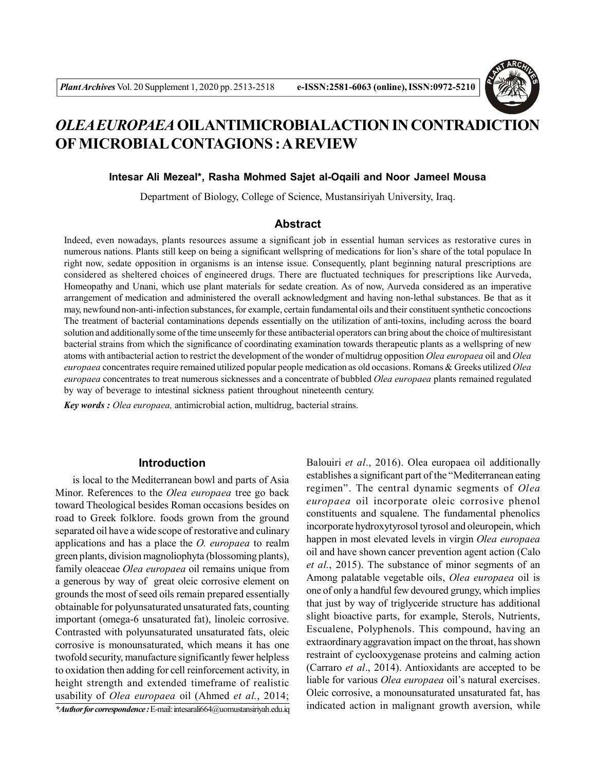

# *OLEA EUROPAEA* **OILANTIMICROBIALACTION IN CONTRADICTION OF MICROBIAL CONTAGIONS : A REVIEW**

#### **Intesar Ali Mezeal\*, Rasha Mohmed Sajet al-Oqaili and Noor Jameel Mousa**

Department of Biology, College of Science, Mustansiriyah University, Iraq.

## **Abstract**

Indeed, even nowadays, plants resources assume a significant job in essential human services as restorative cures in numerous nations. Plants still keep on being a significant wellspring of medications for lion's share of the total populace In right now, sedate opposition in organisms is an intense issue. Consequently, plant beginning natural prescriptions are considered as sheltered choices of engineered drugs. There are fluctuated techniques for prescriptions like Aurveda, Homeopathy and Unani, which use plant materials for sedate creation. As of now, Aurveda considered as an imperative arrangement of medication and administered the overall acknowledgment and having non-lethal substances. Be that as it may, newfound non-anti-infection substances, for example, certain fundamental oils and their constituent synthetic concoctions The treatment of bacterial contaminations depends essentially on the utilization of anti-toxins, including across the board solution and additionally some of the time unseemly for these antibacterial operators can bring about the choice of multiresistant bacterial strains from which the significance of coordinating examination towards therapeutic plants as a wellspring of new atoms with antibacterial action to restrict the development of the wonder of multidrug opposition *Olea europaea* oil and *Olea europaea* concentrates require remained utilized popular people medication as old occasions. Romans & Greeks utilized *Olea europaea* concentrates to treat numerous sicknesses and a concentrate of bubbled *Olea europaea* plants remained regulated by way of beverage to intestinal sickness patient throughout nineteenth century.

*Key words : Olea europaea,* antimicrobial action, multidrug, bacterial strains.

### **Introduction**

is local to the Mediterranean bowl and parts of Asia Minor. References to the *Olea europaea* tree go back toward Theological besides Roman occasions besides on road to Greek folklore. foods grown from the ground separated oil have a wide scope of restorative and culinary applications and has a place the *O. europaea* to realm green plants, division magnoliophyta (blossoming plants), family oleaceae *Olea europaea* oil remains unique from a generous by way of great oleic corrosive element on grounds the most of seed oils remain prepared essentially obtainable for polyunsaturated unsaturated fats, counting important (omega-6 unsaturated fat), linoleic corrosive. Contrasted with polyunsaturated unsaturated fats, oleic corrosive is monounsaturated, which means it has one twofold security, manufacture significantly fewer helpless to oxidation then adding for cell reinforcement activity, in height strength and extended timeframe of realistic usability of *Olea europaea* oil (Ahmed *et al.*, 2014; *\*Author for correspondence :* E-mail: intesarali664@uomustansiriyah.edu.iq

constituents and squalene. The fundamental phenolics incorporate hydroxytyrosol tyrosol and oleuropein, which happen in most elevated levels in virgin *Olea europaea* oil and have shown cancer prevention agent action (Calo *et al.*, 2015). The substance of minor segments of an Among palatable vegetable oils, *Olea europaea* oil is one of only a handful few devoured grungy, which implies that just by way of triglyceride structure has additional slight bioactive parts, for example, Sterols, Nutrients, Escualene, Polyphenols. This compound, having an extraordinary aggravation impact on the throat, has shown restraint of cyclooxygenase proteins and calming action (Carraro *et al*., 2014). Antioxidants are accepted to be liable for various *Olea europaea* oil's natural exercises. Oleic corrosive, a monounsaturated unsaturated fat, has indicated action in malignant growth aversion, while

Balouiri *et al*., 2016). Olea europaea oil additionally establishes a significant part of the "Mediterranean eating regimen". The central dynamic segments of *Olea europaea* oil incorporate oleic corrosive phenol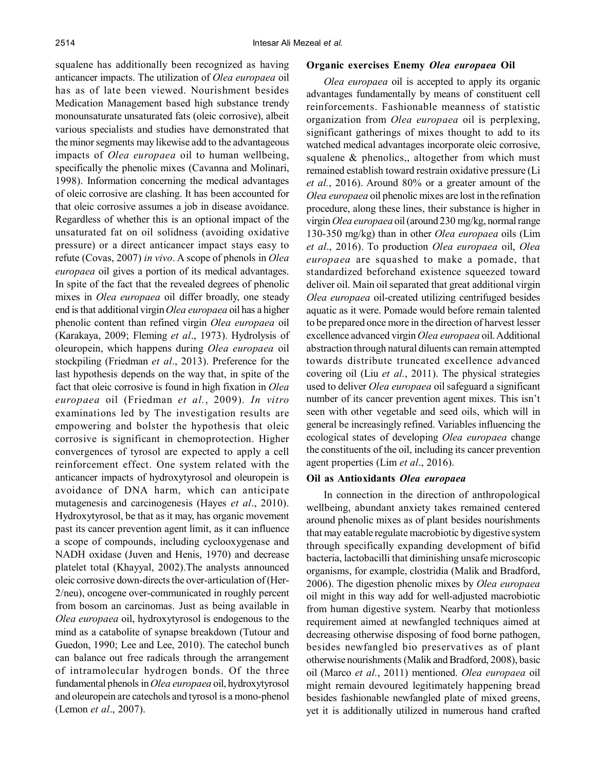squalene has additionally been recognized as having anticancer impacts. The utilization of *Olea europaea* oil has as of late been viewed. Nourishment besides Medication Management based high substance trendy monounsaturate unsaturated fats (oleic corrosive), albeit various specialists and studies have demonstrated that the minor segments may likewise add to the advantageous impacts of *Olea europaea* oil to human wellbeing, specifically the phenolic mixes (Cavanna and Molinari, 1998). Information concerning the medical advantages of oleic corrosive are clashing. It has been accounted for that oleic corrosive assumes a job in disease avoidance. Regardless of whether this is an optional impact of the unsaturated fat on oil solidness (avoiding oxidative pressure) or a direct anticancer impact stays easy to refute (Covas, 2007) *in vivo*. A scope of phenols in *Olea europaea* oil gives a portion of its medical advantages. In spite of the fact that the revealed degrees of phenolic mixes in *Olea europaea* oil differ broadly, one steady end is that additional virgin *Olea europaea* oil has a higher phenolic content than refined virgin *Olea europaea* oil (Karakaya, 2009; Fleming *et al*., 1973). Hydrolysis of oleuropein, which happens during *Olea europaea* oil stockpiling (Friedman *et al*., 2013). Preference for the last hypothesis depends on the way that, in spite of the fact that oleic corrosive is found in high fixation in *Olea europaea* oil (Friedman *et al.*, 2009). *In vitro* examinations led by The investigation results are empowering and bolster the hypothesis that oleic corrosive is significant in chemoprotection. Higher convergences of tyrosol are expected to apply a cell reinforcement effect. One system related with the anticancer impacts of hydroxytyrosol and oleuropein is avoidance of DNA harm, which can anticipate mutagenesis and carcinogenesis (Hayes *et al*., 2010). Hydroxytyrosol, be that as it may, has organic movement past its cancer prevention agent limit, as it can influence a scope of compounds, including cyclooxygenase and NADH oxidase (Juven and Henis, 1970) and decrease platelet total (Khayyal, 2002).The analysts announced oleic corrosive down-directs the over-articulation of (Her-2/neu), oncogene over-communicated in roughly percent from bosom an carcinomas. Just as being available in *Olea europaea* oil, hydroxytyrosol is endogenous to the mind as a catabolite of synapse breakdown (Tutour and Guedon, 1990; Lee and Lee, 2010). The catechol bunch can balance out free radicals through the arrangement of intramolecular hydrogen bonds. Of the three fundamental phenols in *Olea europaea* oil, hydroxytyrosol and oleuropein are catechols and tyrosol is a mono-phenol (Lemon *et al*., 2007).

#### **Organic exercises Enemy** *Olea europaea* **Oil**

*Olea europaea* oil is accepted to apply its organic advantages fundamentally by means of constituent cell reinforcements. Fashionable meanness of statistic organization from *Olea europaea* oil is perplexing, significant gatherings of mixes thought to add to its watched medical advantages incorporate oleic corrosive, squalene & phenolics,, altogether from which must remained establish toward restrain oxidative pressure (Li *et al.*, 2016). Around 80% or a greater amount of the *Olea europaea* oil phenolic mixes are lost in the refination procedure, along these lines, their substance is higher in virgin *Olea europaea* oil (around 230 mg/kg, normal range 130-350 mg/kg) than in other *Olea europaea* oils (Lim *et al*., 2016). To production *Olea europaea* oil, *Olea europaea* are squashed to make a pomade, that standardized beforehand existence squeezed toward deliver oil. Main oil separated that great additional virgin *Olea europaea* oil-created utilizing centrifuged besides aquatic as it were. Pomade would before remain talented to be prepared once more in the direction of harvest lesser excellence advanced virgin *Olea europaea* oil. Additional abstraction through natural diluents can remain attempted towards distribute truncated excellence advanced covering oil (Liu *et al.*, 2011). The physical strategies used to deliver *Olea europaea* oil safeguard a significant number of its cancer prevention agent mixes. This isn't seen with other vegetable and seed oils, which will in general be increasingly refined. Variables influencing the ecological states of developing *Olea europaea* change the constituents of the oil, including its cancer prevention agent properties (Lim *et al*., 2016).

#### **Oil as Antioxidants** *Olea europaea*

In connection in the direction of anthropological wellbeing, abundant anxiety takes remained centered around phenolic mixes as of plant besides nourishments that may eatable regulate macrobiotic by digestive system through specifically expanding development of bifid bacteria, lactobacilli that diminishing unsafe microscopic organisms, for example, clostridia (Malik and Bradford, 2006). The digestion phenolic mixes by *Olea europaea* oil might in this way add for well-adjusted macrobiotic from human digestive system. Nearby that motionless requirement aimed at newfangled techniques aimed at decreasing otherwise disposing of food borne pathogen, besides newfangled bio preservatives as of plant otherwise nourishments (Malik and Bradford, 2008), basic oil (Marco *et al.*, 2011) mentioned. *Olea europaea* oil might remain devoured legitimately happening bread besides fashionable newfangled plate of mixed greens, yet it is additionally utilized in numerous hand crafted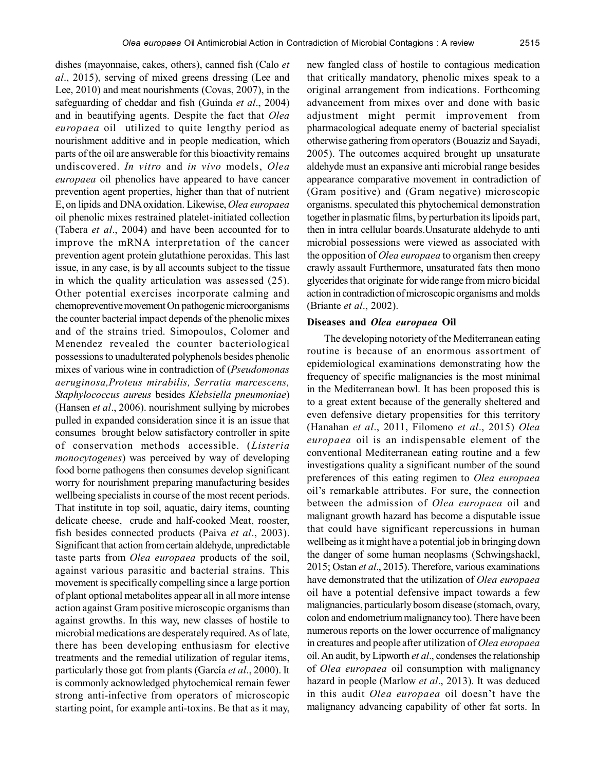dishes (mayonnaise, cakes, others), canned fish (Calo *et al*., 2015), serving of mixed greens dressing (Lee and Lee, 2010) and meat nourishments (Covas, 2007), in the safeguarding of cheddar and fish (Guinda *et al*., 2004) and in beautifying agents. Despite the fact that *Olea europaea* oil utilized to quite lengthy period as nourishment additive and in people medication, which parts of the oil are answerable for this bioactivity remains undiscovered. *In vitro* and *in vivo* models, *Olea europaea* oil phenolics have appeared to have cancer prevention agent properties, higher than that of nutrient E, on lipids and DNA oxidation. Likewise, *Olea europaea* oil phenolic mixes restrained platelet-initiated collection (Tabera *et al*., 2004) and have been accounted for to improve the mRNA interpretation of the cancer prevention agent protein glutathione peroxidas. This last issue, in any case, is by all accounts subject to the tissue in which the quality articulation was assessed (25). Other potential exercises incorporate calming and chemopreventive movement On pathogenic microorganisms the counter bacterial impact depends of the phenolic mixes and of the strains tried. Simopoulos, Colomer and Menendez revealed the counter bacteriological possessions to unadulterated polyphenols besides phenolic mixes of various wine in contradiction of (*Pseudomonas aeruginosa,Proteus mirabilis, Serratia marcescens, Staphylococcus aureus* besides *Klebsiella pneumoniae*) (Hansen *et al*., 2006). nourishment sullying by microbes pulled in expanded consideration since it is an issue that consumes brought below satisfactory controller in spite of conservation methods accessible. (*Listeria monocytogenes*) was perceived by way of developing food borne pathogens then consumes develop significant worry for nourishment preparing manufacturing besides wellbeing specialists in course of the most recent periods. That institute in top soil, aquatic, dairy items, counting delicate cheese, crude and half-cooked Meat, rooster, fish besides connected products (Paiva *et al*., 2003). Significant that action from certain aldehyde, unpredictable taste parts from *Olea europaea* products of the soil, against various parasitic and bacterial strains. This movement is specifically compelling since a large portion of plant optional metabolites appear all in all more intense action against Gram positive microscopic organisms than against growths. In this way, new classes of hostile to microbial medications are desperately required. As of late, there has been developing enthusiasm for elective treatments and the remedial utilization of regular items, particularly those got from plants (García *et al*., 2000). It is commonly acknowledged phytochemical remain fewer strong anti-infective from operators of microscopic starting point, for example anti-toxins. Be that as it may,

new fangled class of hostile to contagious medication that critically mandatory, phenolic mixes speak to a original arrangement from indications. Forthcoming advancement from mixes over and done with basic adjustment might permit improvement from pharmacological adequate enemy of bacterial specialist otherwise gathering from operators (Bouaziz and Sayadi, 2005). The outcomes acquired brought up unsaturate aldehyde must an expansive anti microbial range besides appearance comparative movement in contradiction of (Gram positive) and (Gram negative) microscopic organisms. speculated this phytochemical demonstration together in plasmatic films, by perturbation its lipoids part, then in intra cellular boards.Unsaturate aldehyde to anti microbial possessions were viewed as associated with the opposition of *Olea europaea* to organism then creepy crawly assault Furthermore, unsaturated fats then mono glycerides that originate for wide range from micro bicidal action in contradiction of microscopic organisms and molds (Briante *et al*., 2002).

#### **Diseases and** *Olea europaea* **Oil**

The developing notoriety of the Mediterranean eating routine is because of an enormous assortment of epidemiological examinations demonstrating how the frequency of specific malignancies is the most minimal in the Mediterranean bowl. It has been proposed this is to a great extent because of the generally sheltered and even defensive dietary propensities for this territory (Hanahan *et al*., 2011, Filomeno *et al*., 2015) *Olea europaea* oil is an indispensable element of the conventional Mediterranean eating routine and a few investigations quality a significant number of the sound preferences of this eating regimen to *Olea europaea* oil's remarkable attributes. For sure, the connection between the admission of *Olea europaea* oil and malignant growth hazard has become a disputable issue that could have significant repercussions in human wellbeing as it might have a potential job in bringing down the danger of some human neoplasms (Schwingshackl, 2015; Ostan *et al*., 2015). Therefore, various examinations have demonstrated that the utilization of *Olea europaea* oil have a potential defensive impact towards a few malignancies, particularly bosom disease (stomach, ovary, colon and endometrium malignancy too). There have been numerous reports on the lower occurrence of malignancy in creatures and people after utilization of *Olea europaea* oil. An audit, by Lipworth *et al*., condenses the relationship of *Olea europaea* oil consumption with malignancy hazard in people (Marlow *et al*., 2013). It was deduced in this audit *Olea europaea* oil doesn't have the malignancy advancing capability of other fat sorts. In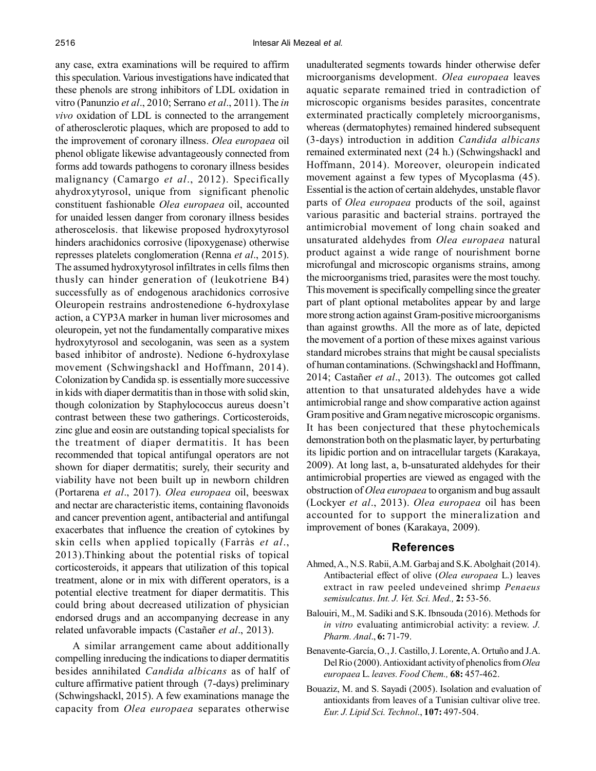any case, extra examinations will be required to affirm this speculation. Various investigations have indicated that these phenols are strong inhibitors of LDL oxidation in vitro (Panunzio *et al*., 2010; Serrano *et al*., 2011). The *in vivo* oxidation of LDL is connected to the arrangement of atherosclerotic plaques, which are proposed to add to the improvement of coronary illness. *Olea europaea* oil phenol obligate likewise advantageously connected from forms add towards pathogens to coronary illness besides malignancy (Camargo *et al*., 2012). Specifically ahydroxytyrosol, unique from significant phenolic constituent fashionable *Olea europaea* oil, accounted for unaided lessen danger from coronary illness besides atheroscelosis. that likewise proposed hydroxytyrosol hinders arachidonics corrosive (lipoxygenase) otherwise represses platelets conglomeration (Renna *et al*., 2015). The assumed hydroxytyrosol infiltrates in cells films then thusly can hinder generation of (leukotriene B4) successfully as of endogenous arachidonics corrosive Oleuropein restrains androstenedione 6-hydroxylase action, a CYP3A marker in human liver microsomes and oleuropein, yet not the fundamentally comparative mixes hydroxytyrosol and secologanin, was seen as a system based inhibitor of androste). Nedione 6-hydroxylase movement (Schwingshackl and Hoffmann, 2014). Colonization by Candida sp. is essentially more successive in kids with diaper dermatitis than in those with solid skin, though colonization by Staphylococcus aureus doesn't contrast between these two gatherings. Corticosteroids, zinc glue and eosin are outstanding topical specialists for the treatment of diaper dermatitis. It has been recommended that topical antifungal operators are not shown for diaper dermatitis; surely, their security and viability have not been built up in newborn children (Portarena *et al*., 2017). *Olea europaea* oil, beeswax and nectar are characteristic items, containing flavonoids and cancer prevention agent, antibacterial and antifungal exacerbates that influence the creation of cytokines by skin cells when applied topically (Farràs *et al*., 2013).Thinking about the potential risks of topical corticosteroids, it appears that utilization of this topical treatment, alone or in mix with different operators, is a potential elective treatment for diaper dermatitis. This could bring about decreased utilization of physician endorsed drugs and an accompanying decrease in any related unfavorable impacts (Castañer *et al*., 2013).

A similar arrangement came about additionally compelling inreducing the indications to diaper dermatitis besides annihilated *Candida albicans* as of half of culture affirmative patient through (7-days) preliminary (Schwingshackl, 2015). A few examinations manage the capacity from *Olea europaea* separates otherwise

unadulterated segments towards hinder otherwise defer microorganisms development. *Olea europaea* leaves aquatic separate remained tried in contradiction of microscopic organisms besides parasites, concentrate exterminated practically completely microorganisms, whereas (dermatophytes) remained hindered subsequent (3-days) introduction in addition *Candida albicans* remained exterminated next (24 h.) (Schwingshackl and Hoffmann, 2014). Moreover, oleuropein indicated movement against a few types of Mycoplasma (45). Essential is the action of certain aldehydes, unstable flavor parts of *Olea europaea* products of the soil, against various parasitic and bacterial strains. portrayed the antimicrobial movement of long chain soaked and unsaturated aldehydes from *Olea europaea* natural product against a wide range of nourishment borne microfungal and microscopic organisms strains, among the microorganisms tried, parasites were the most touchy. This movement is specifically compelling since the greater part of plant optional metabolites appear by and large more strong action against Gram-positive microorganisms than against growths. All the more as of late, depicted the movement of a portion of these mixes against various standard microbes strains that might be causal specialists of human contaminations. (Schwingshackl and Hoffmann, 2014; Castañer *et al*., 2013). The outcomes got called attention to that unsaturated aldehydes have a wide antimicrobial range and show comparative action against Gram positive and Gram negative microscopic organisms. It has been conjectured that these phytochemicals demonstration both on the plasmatic layer, by perturbating its lipidic portion and on intracellular targets (Karakaya, 2009). At long last, a, b-unsaturated aldehydes for their antimicrobial properties are viewed as engaged with the obstruction of *Olea europaea* to organism and bug assault (Lockyer *et al*., 2013). *Olea europaea* oil has been accounted for to support the mineralization and improvement of bones (Karakaya, 2009).

#### **References**

- Ahmed, A., N.S. Rabii, A.M. Garbaj and S.K. Abolghait (2014). Antibacterial effect of olive (*Olea europaea* L.) leaves extract in raw peeled undeveined shrimp *Penaeus semisulcatus*. *Int. J. Vet. Sci. Med.,* **2:** 53-56.
- Balouiri, M., M. Sadiki and S.K. Ibnsouda (2016). Methods for *in vitro* evaluating antimicrobial activity: a review. *J. Pharm. Anal*., **6:** 71-79.
- Benavente-García, O., J. Castillo, J. Lorente, A. Ortuño and J.A. Del Rio (2000). Antioxidant activity of phenolics from *Olea europaea* L. *leaves. Food Chem.,* **68:** 457-462.
- Bouaziz, M. and S. Sayadi (2005). Isolation and evaluation of antioxidants from leaves of a Tunisian cultivar olive tree. *Eur. J. Lipid Sci. Technol*., **107:** 497-504.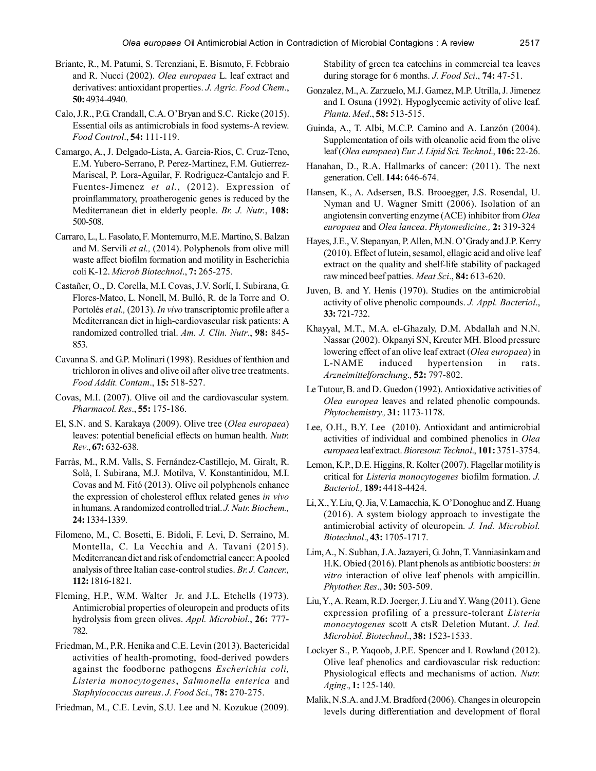- Briante, R., M. Patumi, S. Terenziani, E. Bismuto, F. Febbraio and R. Nucci (2002). *Olea europaea* L. leaf extract and derivatives: antioxidant properties. *J. Agric. Food Chem*., **50:** 4934-4940.
- Calo, J.R., P.G. Crandall, C.A. O'Bryan and S.C. Ricke (2015). Essential oils as antimicrobials in food systems-A review. *Food Control*., **54:** 111-119.
- Camargo, A., J. Delgado-Lista, A. Garcia-Rios, C. Cruz-Teno, E.M. Yubero-Serrano, P. Perez-Martinez, F.M. Gutierrez-Mariscal, P. Lora-Aguilar, F. Rodriguez-Cantalejo and F. Fuentes-Jimenez *et al.*, (2012). Expression of proinflammatory, proatherogenic genes is reduced by the Mediterranean diet in elderly people. *Br. J. Nutr.*, **108:** 500-508.
- Carraro, L., L. Fasolato, F. Montemurro, M.E. Martino, S. Balzan and M. Servili *et al.,* (2014). Polyphenols from olive mill waste affect biofilm formation and motility in Escherichia coli K-12. *Microb Biotechnol*., **7:** 265-275.
- Castañer, O., D. Corella, M.I. Covas, J.V. Sorlí, I. Subirana, G. Flores-Mateo, L. Nonell, M. Bulló, R. de la Torre and O. Portolés *et al.,* (2013). *In vivo* transcriptomic profile after a Mediterranean diet in high-cardiovascular risk patients: A randomized controlled trial. *Am. J. Clin. Nutr*., **98:** 845- 853.
- Cavanna S. and G.P. Molinari (1998). Residues of fenthion and trichloron in olives and olive oil after olive tree treatments. *Food Addit. Contam*., **15:** 518-527.
- Covas, M.I. (2007). Olive oil and the cardiovascular system. *Pharmacol. Res*., **55:** 175-186.
- El, S.N. and S. Karakaya (2009). Olive tree (*Olea europaea*) leaves: potential beneficial effects on human health. *Nutr. Rev*., **67:** 632-638.
- Farràs, M., R.M. Valls, S. Fernández-Castillejo, M. Giralt, R. Solà, I. Subirana, M.J. Motilva, V. Konstantinidou, M.I. Covas and M. Fitó (2013). Olive oil polyphenols enhance the expression of cholesterol efflux related genes *in vivo* in humans. A randomized controlled trial. *J. Nutr. Biochem.,* **24:** 1334-1339.
- Filomeno, M., C. Bosetti, E. Bidoli, F. Levi, D. Serraino, M. Montella, C. La Vecchia and A. Tavani (2015). Mediterranean diet and risk of endometrial cancer: A pooled analysis of three Italian case-control studies. *Br. J. Cancer.,* **112:** 1816-1821.
- Fleming, H.P., W.M. Walter Jr. and J.L. Etchells (1973). Antimicrobial properties of oleuropein and products of its hydrolysis from green olives. *Appl. Microbiol*., **26:** 777- 782.
- Friedman, M., P.R. Henika and C.E. Levin (2013). Bactericidal activities of health-promoting, food-derived powders against the foodborne pathogens *Escherichia coli, Listeria monocytogenes*, *Salmonella enterica* and *Staphylococcus aureus*. *J. Food Sci*., **78:** 270-275.
- Friedman, M., C.E. Levin, S.U. Lee and N. Kozukue (2009).

Stability of green tea catechins in commercial tea leaves during storage for 6 months. *J. Food Sci*., **74:** 47-51.

- Gonzalez, M., A. Zarzuelo, M.J. Gamez, M.P. Utrilla, J. Jimenez and I. Osuna (1992). Hypoglycemic activity of olive leaf. *Planta. Med*., **58:** 513-515.
- Guinda, A., T. Albi, M.C.P. Camino and A. Lanzón (2004). Supplementation of oils with oleanolic acid from the olive leaf (*Olea europaea*) *Eur. J. Lipid Sci. Technol*., **106:** 22-26.
- Hanahan, D., R.A. Hallmarks of cancer: (2011). The next generation. Cell. **144:** 646-674.
- Hansen, K., A. Adsersen, B.S. Brooegger, J.S. Rosendal, U. Nyman and U. Wagner Smitt (2006). Isolation of an angiotensin converting enzyme (ACE) inhibitor from *Olea europaea* and *Olea lancea*. *Phytomedicine.,* **2:** 319-324
- Hayes, J.E., V. Stepanyan, P. Allen, M.N. O'Grady and J.P. Kerry (2010). Effect of lutein, sesamol, ellagic acid and olive leaf extract on the quality and shelf-life stability of packaged raw minced beef patties. *Meat Sci*., **84:** 613-620.
- Juven, B. and Y. Henis (1970). Studies on the antimicrobial activity of olive phenolic compounds. *J. Appl. Bacteriol*., **33:** 721-732.
- Khayyal, M.T., M.A. el-Ghazaly, D.M. Abdallah and N.N. Nassar (2002). Okpanyi SN, Kreuter MH. Blood pressure lowering effect of an olive leaf extract (*Olea europaea*) in L-NAME induced hypertension in rats. *Arzneimittelforschung.,* **52:** 797-802.
- Le Tutour, B. and D. Guedon (1992). Antioxidative activities of *Olea europea* leaves and related phenolic compounds. *Phytochemistry.,* **31:** 1173-1178.
- Lee, O.H., B.Y. Lee (2010). Antioxidant and antimicrobial activities of individual and combined phenolics in *Olea europaea* leaf extract. *Bioresour. Technol*., **101:** 3751-3754.
- Lemon, K.P., D.E. Higgins, R. Kolter (2007). Flagellar motility is critical for *Listeria monocytogenes* biofilm formation. *J. Bacteriol.,* **189:** 4418-4424.
- Li, X., Y. Liu, Q. Jia, V. Lamacchia, K. O'Donoghue and Z. Huang (2016). A system biology approach to investigate the antimicrobial activity of oleuropein. *J. Ind. Microbiol. Biotechnol*., **43:** 1705-1717.
- Lim, A., N. Subhan, J.A. Jazayeri, G. John, T. Vanniasinkam and H.K. Obied (2016). Plant phenols as antibiotic boosters: *in vitro* interaction of olive leaf phenols with ampicillin. *Phytother. Res*., **30:** 503-509.
- Liu, Y., A. Ream, R.D. Joerger, J. Liu and Y. Wang (2011). Gene expression profiling of a pressure-tolerant *Listeria monocytogenes* scott A ctsR Deletion Mutant. *J. Ind. Microbiol. Biotechnol*., **38:** 1523-1533.
- Lockyer S., P. Yaqoob, J.P.E. Spencer and I. Rowland (2012). Olive leaf phenolics and cardiovascular risk reduction: Physiological effects and mechanisms of action. *Nutr. Aging*., **1:** 125-140.
- Malik, N.S.A. and J.M. Bradford (2006). Changes in oleuropein levels during differentiation and development of floral